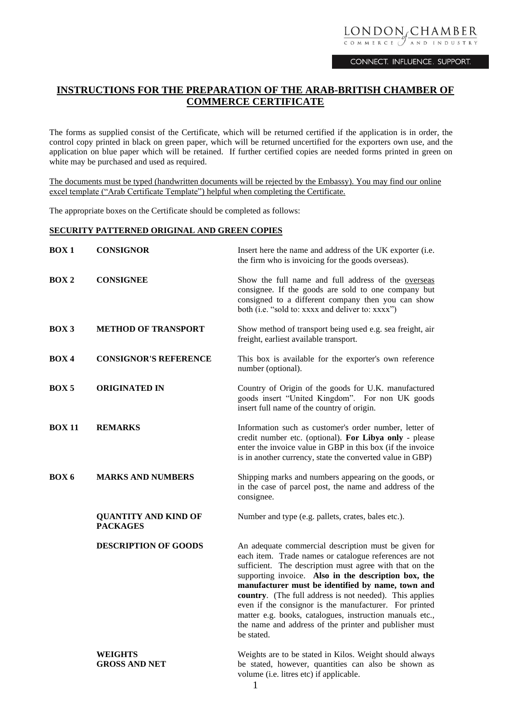CONNECT. INFLUENCE. SUPPORT.

# **INSTRUCTIONS FOR THE PREPARATION OF THE ARAB-BRITISH CHAMBER OF COMMERCE CERTIFICATE**

The forms as supplied consist of the Certificate, which will be returned certified if the application is in order, the control copy printed in black on green paper, which will be returned uncertified for the exporters own use, and the application on blue paper which will be retained. If further certified copies are needed forms printed in green on white may be purchased and used as required.

The documents must be typed (handwritten documents will be rejected by the Embassy). You may find our online excel template ("Arab Certificate Template") helpful when completing the Certificate.

The appropriate boxes on the Certificate should be completed as follows:

# **SECURITY PATTERNED ORIGINAL AND GREEN COPIES**

| <b>BOX1</b>      | <b>CONSIGNOR</b>                               | Insert here the name and address of the UK exporter (i.e.<br>the firm who is invoicing for the goods overseas).                                                                                                                                                                                                                                                                                                                                                                                                                                 |  |
|------------------|------------------------------------------------|-------------------------------------------------------------------------------------------------------------------------------------------------------------------------------------------------------------------------------------------------------------------------------------------------------------------------------------------------------------------------------------------------------------------------------------------------------------------------------------------------------------------------------------------------|--|
| BOX <sub>2</sub> | <b>CONSIGNEE</b>                               | Show the full name and full address of the overseas<br>consignee. If the goods are sold to one company but<br>consigned to a different company then you can show<br>both (i.e. "sold to: xxxx and deliver to: xxxx")                                                                                                                                                                                                                                                                                                                            |  |
| <b>BOX 3</b>     | <b>METHOD OF TRANSPORT</b>                     | Show method of transport being used e.g. sea freight, air<br>freight, earliest available transport.                                                                                                                                                                                                                                                                                                                                                                                                                                             |  |
| $\overline{A}$   | <b>CONSIGNOR'S REFERENCE</b>                   | This box is available for the exporter's own reference<br>number (optional).                                                                                                                                                                                                                                                                                                                                                                                                                                                                    |  |
| <b>BOX5</b>      | <b>ORIGINATED IN</b>                           | Country of Origin of the goods for U.K. manufactured<br>goods insert "United Kingdom". For non UK goods<br>insert full name of the country of origin.                                                                                                                                                                                                                                                                                                                                                                                           |  |
| <b>BOX 11</b>    | <b>REMARKS</b>                                 | Information such as customer's order number, letter of<br>credit number etc. (optional). For Libya only - please<br>enter the invoice value in GBP in this box (if the invoice<br>is in another currency, state the converted value in GBP)                                                                                                                                                                                                                                                                                                     |  |
| BOX 6            | <b>MARKS AND NUMBERS</b>                       | Shipping marks and numbers appearing on the goods, or<br>in the case of parcel post, the name and address of the<br>consignee.                                                                                                                                                                                                                                                                                                                                                                                                                  |  |
|                  | <b>QUANTITY AND KIND OF</b><br><b>PACKAGES</b> | Number and type (e.g. pallets, crates, bales etc.).                                                                                                                                                                                                                                                                                                                                                                                                                                                                                             |  |
|                  | <b>DESCRIPTION OF GOODS</b>                    | An adequate commercial description must be given for<br>each item. Trade names or catalogue references are not<br>sufficient. The description must agree with that on the<br>supporting invoice. Also in the description box, the<br>manufacturer must be identified by name, town and<br>country. (The full address is not needed). This applies<br>even if the consignor is the manufacturer. For printed<br>matter e.g. books, catalogues, instruction manuals etc.,<br>the name and address of the printer and publisher must<br>be stated. |  |
|                  | WEIGHTS<br><b>GROSS AND NET</b>                | Weights are to be stated in Kilos. Weight should always<br>be stated, however, quantities can also be shown as<br>volume (i.e. litres etc) if applicable.                                                                                                                                                                                                                                                                                                                                                                                       |  |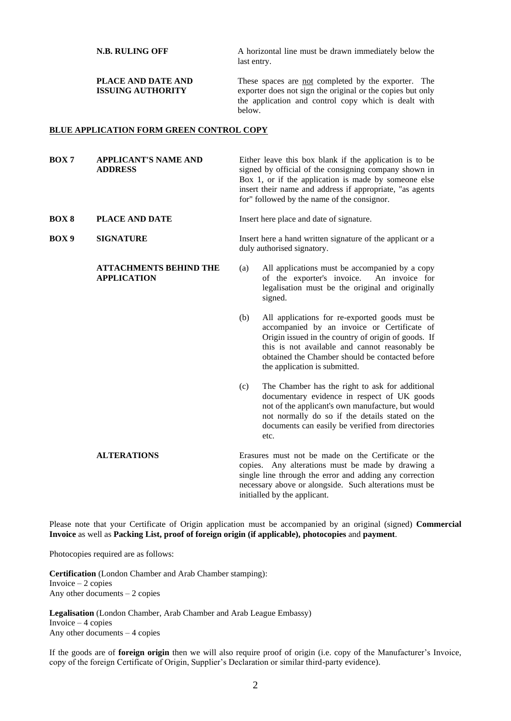**BOX 7 APPLICANT'S NAME AND** 

**N.B. RULING OFF** A horizontal line must be drawn immediately below the last entry.

**PLACE AND DATE AND ISSUING AUTHORITY**

These spaces are not completed by the exporter. The exporter does not sign the original or the copies but only the application and control copy which is dealt with below.

Either leave this box blank if the application is to be

documents can easily be verified from directories

### **BLUE APPLICATION FORM GREEN CONTROL COPY**

|                  | <b>ADDRESS</b>                                      |     | signed by official of the consigning company shown in<br>Box 1, or if the application is made by someone else<br>insert their name and address if appropriate, "as agents<br>for" followed by the name of the consignor.                                                                   |  |
|------------------|-----------------------------------------------------|-----|--------------------------------------------------------------------------------------------------------------------------------------------------------------------------------------------------------------------------------------------------------------------------------------------|--|
| <b>BOX 8</b>     | PLACE AND DATE                                      |     | Insert here place and date of signature.                                                                                                                                                                                                                                                   |  |
| BOX <sub>9</sub> | <b>SIGNATURE</b>                                    |     | Insert here a hand written signature of the applicant or a<br>duly authorised signatory.                                                                                                                                                                                                   |  |
|                  | <b>ATTACHMENTS BEHIND THE</b><br><b>APPLICATION</b> | (a) | All applications must be accompanied by a copy<br>of the exporter's invoice. An invoice for<br>legalisation must be the original and originally<br>signed.                                                                                                                                 |  |
|                  |                                                     | (b) | All applications for re-exported goods must be<br>accompanied by an invoice or Certificate of<br>Origin issued in the country of origin of goods. If<br>this is not available and cannot reasonably be<br>obtained the Chamber should be contacted before<br>the application is submitted. |  |
|                  |                                                     | (c) | The Chamber has the right to ask for additional<br>documentary evidence in respect of UK goods<br>not of the applicant's own manufacture, but would<br>not normally do so if the details stated on the                                                                                     |  |

**ALTERATIONS** Erasures must not be made on the Certificate or the copies. Any alterations must be made by drawing a single line through the error and adding any correction necessary above or alongside. Such alterations must be initialled by the applicant.

etc.

Please note that your Certificate of Origin application must be accompanied by an original (signed) **Commercial Invoice** as well as **Packing List, proof of foreign origin (if applicable), photocopies** and **payment**.

Photocopies required are as follows:

**Certification** (London Chamber and Arab Chamber stamping): Invoice  $-2$  copies Any other documents  $-2$  copies

**Legalisation** (London Chamber, Arab Chamber and Arab League Embassy) Invoice  $-4$  copies Any other documents – 4 copies

If the goods are of **foreign origin** then we will also require proof of origin (i.e. copy of the Manufacturer's Invoice, copy of the foreign Certificate of Origin, Supplier's Declaration or similar third-party evidence).